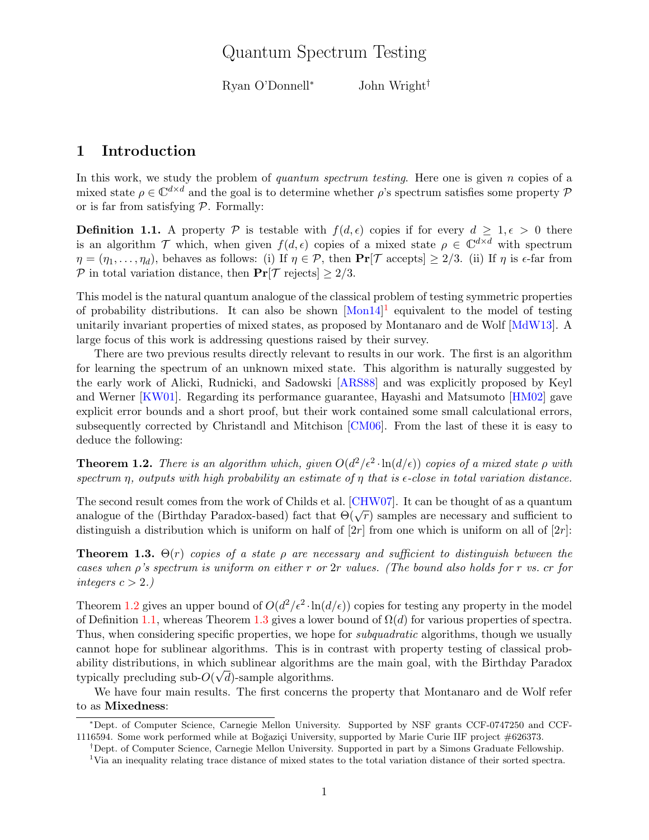## Quantum Spectrum Testing

Ryan O'Donnell<sup>∗</sup> John Wright†

## 1 Introduction

In this work, we study the problem of quantum spectrum testing. Here one is given  $n$  copies of a mixed state  $\rho \in \mathbb{C}^{d \times d}$  and the goal is to determine whether  $\rho$ 's spectrum satisfies some property  $\mathcal P$ or is far from satisfying  $P$ . Formally:

<span id="page-0-2"></span>**Definition 1.1.** A property P is testable with  $f(d, \epsilon)$  copies if for every  $d \geq 1, \epsilon > 0$  there is an algorithm T which, when given  $f(d, \epsilon)$  copies of a mixed state  $\rho \in \mathbb{C}^{d \times d}$  with spectrum  $\eta = (\eta_1, \ldots, \eta_d)$ , behaves as follows: (i) If  $\eta \in \mathcal{P}$ , then  $\Pr[\mathcal{T}$  accepts  $\geq 2/3$ . (ii) If  $\eta$  is  $\epsilon$ -far from P in total variation distance, then  $Pr[\mathcal{T}]$  rejects  $\geq 2/3$ .

This model is the natural quantum analogue of the classical problem of testing symmetric properties of probability distributions. It can also be shown  $[Mon14]$ <sup>[1](#page-0-0)</sup> equivalent to the model of testing unitarily invariant properties of mixed states, as proposed by Montanaro and de Wolf [\[MdW13\]](#page-3-1). A large focus of this work is addressing questions raised by their survey.

There are two previous results directly relevant to results in our work. The first is an algorithm for learning the spectrum of an unknown mixed state. This algorithm is naturally suggested by the early work of Alicki, Rudnicki, and Sadowski [\[ARS88\]](#page-3-2) and was explicitly proposed by Keyl and Werner [\[KW01\]](#page-3-3). Regarding its performance guarantee, Hayashi and Matsumoto [\[HM02\]](#page-3-4) gave explicit error bounds and a short proof, but their work contained some small calculational errors, subsequently corrected by Christandl and Mitchison [\[CM06\]](#page-3-5). From the last of these it is easy to deduce the following:

<span id="page-0-1"></span>**Theorem 1.2.** There is an algorithm which, given  $O(d^2/\epsilon^2 \cdot \ln(d/\epsilon))$  copies of a mixed state  $\rho$  with spectrum  $\eta$ , outputs with high probability an estimate of  $\eta$  that is  $\epsilon$ -close in total variation distance.

The second result comes from the work of Childs et al. [\[CHW07\]](#page-3-6). It can be thought of as a quantum The second result comes from the work of Chinas et al. [CHW01]. It can be thought of as a quantum<br>analogue of the (Birthday Paradox-based) fact that  $\Theta(\sqrt{r})$  samples are necessary and sufficient to distinguish a distribution which is uniform on half of  $[2r]$  from one which is uniform on all of  $[2r]$ :

<span id="page-0-3"></span>**Theorem 1.3.**  $\Theta(r)$  copies of a state  $\rho$  are necessary and sufficient to distinguish between the cases when  $\rho$ 's spectrum is uniform on either r or 2r values. (The bound also holds for r vs. cr for integers  $c > 2$ .)

Theorem [1.2](#page-0-1) gives an upper bound of  $O(d^2/\epsilon^2 \cdot \ln(d/\epsilon))$  copies for testing any property in the model of Definition [1.1,](#page-0-2) whereas Theorem [1.3](#page-0-3) gives a lower bound of  $\Omega(d)$  for various properties of spectra. Thus, when considering specific properties, we hope for *subquadratic* algorithms, though we usually cannot hope for sublinear algorithms. This is in contrast with property testing of classical probability distributions, in which sublinear algorithms are the main goal, with the Birthday Paradox typically precluding sub- $O(\sqrt{d})$ -sample algorithms.

We have four main results. The first concerns the property that Montanaro and de Wolf refer to as Mixedness:

<sup>∗</sup>Dept. of Computer Science, Carnegie Mellon University. Supported by NSF grants CCF-0747250 and CCF-1116594. Some work performed while at Boğazici University, supported by Marie Curie IIF project  $\#626373$ .

<sup>†</sup>Dept. of Computer Science, Carnegie Mellon University. Supported in part by a Simons Graduate Fellowship.

<span id="page-0-0"></span><sup>1</sup>Via an inequality relating trace distance of mixed states to the total variation distance of their sorted spectra.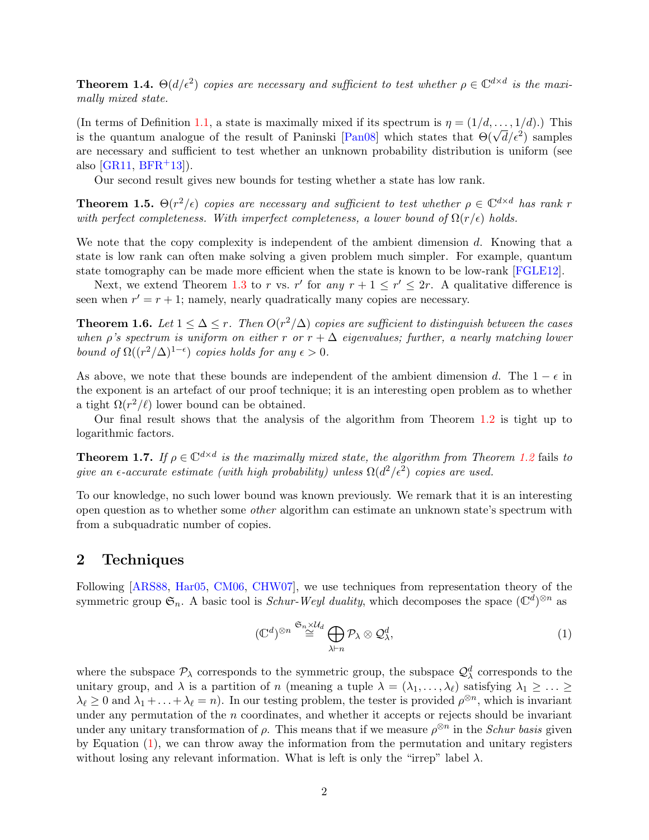<span id="page-1-2"></span>**Theorem 1.4.**  $\Theta(d/\epsilon^2)$  copies are necessary and sufficient to test whether  $\rho \in \mathbb{C}^{d \times d}$  is the maximally mixed state.

(In terms of Definition [1.1,](#page-0-2) a state is maximally mixed if its spectrum is  $\eta = (1/d, \ldots, 1/d)$ .) This (in terms of Definition 1.1, a state is maximally mixed if its spectrum is  $\eta = (1/a, \ldots, 1/a)$ .) This is the quantum analogue of the result of Paninski [\[Pan08\]](#page-3-7) which states that  $\Theta(\sqrt{d}/\epsilon^2)$  samples are necessary and sufficient to test whether an unknown probability distribution is uniform (see also  $[GR11, BFR<sup>+</sup>13$  $[GR11, BFR<sup>+</sup>13$  $[GR11, BFR<sup>+</sup>13$  $[GR11, BFR<sup>+</sup>13$ .

Our second result gives new bounds for testing whether a state has low rank.

<span id="page-1-3"></span>**Theorem 1.5.**  $\Theta(r^2/\epsilon)$  copies are necessary and sufficient to test whether  $\rho \in \mathbb{C}^{d \times d}$  has rank r with perfect completeness. With imperfect completeness, a lower bound of  $\Omega(r/\epsilon)$  holds.

We note that the copy complexity is independent of the ambient dimension d. Knowing that a state is low rank can often make solving a given problem much simpler. For example, quantum state tomography can be made more efficient when the state is known to be low-rank [\[FGLE12\]](#page-3-10).

Next, we extend Theorem [1.3](#page-0-3) to r vs. r' for any  $r + 1 \le r' \le 2r$ . A qualitative difference is seen when  $r' = r + 1$ ; namely, nearly quadratically many copies are necessary.

<span id="page-1-1"></span>**Theorem 1.6.** Let  $1 \leq \Delta \leq r$ . Then  $O(r^2/\Delta)$  copies are sufficient to distinguish between the cases when  $\rho$ 's spectrum is uniform on either r or  $r + \Delta$  eigenvalues; further, a nearly matching lower bound of  $\Omega((r^2/\Delta)^{1-\epsilon})$  copies holds for any  $\epsilon > 0$ .

As above, we note that these bounds are independent of the ambient dimension d. The  $1 - \epsilon$  in the exponent is an artefact of our proof technique; it is an interesting open problem as to whether a tight  $\Omega(r^2/\ell)$  lower bound can be obtained.

Our final result shows that the analysis of the algorithm from Theorem [1.2](#page-0-1) is tight up to logarithmic factors.

**Theorem 1.7.** If  $\rho \in \mathbb{C}^{d \times d}$  is the maximally mixed state, the algorithm from Theorem [1.2](#page-0-1) fails to give an  $\epsilon$ -accurate estimate (with high probability) unless  $\Omega(d^2/\epsilon^2)$  copies are used.

To our knowledge, no such lower bound was known previously. We remark that it is an interesting open question as to whether some other algorithm can estimate an unknown state's spectrum with from a subquadratic number of copies.

## <span id="page-1-4"></span>2 Techniques

Following [\[ARS88,](#page-3-2) [Har05,](#page-3-11) [CM06,](#page-3-5) [CHW07\]](#page-3-6), we use techniques from representation theory of the symmetric group  $\mathfrak{S}_n$ . A basic tool is *Schur-Weyl duality*, which decomposes the space  $(\mathbb{C}^d)^{\otimes n}$  as

<span id="page-1-0"></span>
$$
(\mathbb{C}^d)^{\otimes n} \stackrel{\mathfrak{S}_n \times \mathcal{U}_d}{\cong} \bigoplus_{\lambda \vdash n} \mathcal{P}_\lambda \otimes \mathcal{Q}_\lambda^d,\tag{1}
$$

where the subspace  $\mathcal{P}_{\lambda}$  corresponds to the symmetric group, the subspace  $\mathcal{Q}^d_{\lambda}$  corresponds to the unitary group, and  $\lambda$  is a partition of n (meaning a tuple  $\lambda = (\lambda_1, \ldots, \lambda_\ell)$  satisfying  $\lambda_1 \geq \ldots \geq$  $\lambda_{\ell} \geq 0$  and  $\lambda_1 + \ldots + \lambda_{\ell} = n$ . In our testing problem, the tester is provided  $\rho^{\otimes n}$ , which is invariant under any permutation of the  $n$  coordinates, and whether it accepts or rejects should be invariant under any unitary transformation of  $\rho$ . This means that if we measure  $\rho^{\otimes n}$  in the *Schur basis* given by Equation [\(1\)](#page-1-0), we can throw away the information from the permutation and unitary registers without losing any relevant information. What is left is only the "irrep" label  $\lambda$ .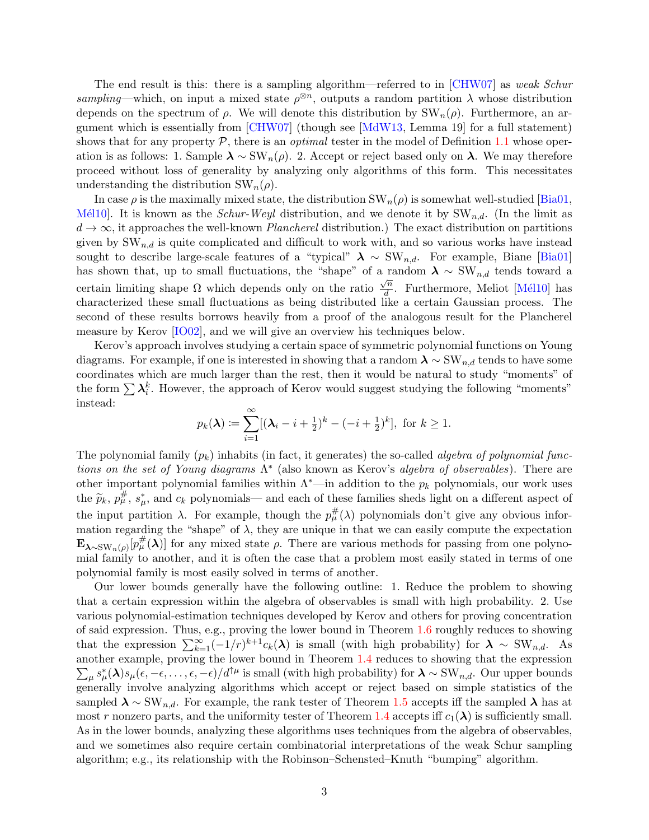The end result is this: there is a sampling algorithm—referred to in  $[CHW07]$  as *weak Schur* sampling—which, on input a mixed state  $\rho^{\otimes n}$ , outputs a random partition  $\lambda$  whose distribution depends on the spectrum of  $\rho$ . We will denote this distribution by  $SW_n(\rho)$ . Furthermore, an argument which is essentially from [\[CHW07\]](#page-3-6) (though see [\[MdW13,](#page-3-1) Lemma 19] for a full statement) shows that for any property  $P$ , there is an *optimal* tester in the model of Definition [1.1](#page-0-2) whose operation is as follows: 1. Sample  $\lambda \sim \text{SW}_n(\rho)$ . 2. Accept or reject based only on  $\lambda$ . We may therefore proceed without loss of generality by analyzing only algorithms of this form. This necessitates understanding the distribution  $SW_n(\rho)$ .

In case  $\rho$  is the maximally mixed state, the distribution  $SW_n(\rho)$  is somewhat well-studied [\[Bia01,](#page-3-12) M<sup>el</sup>lo<sup>1</sup>. It is known as the *Schur-Weyl* distribution, and we denote it by  $SW_{n,d}$ . (In the limit as  $d \to \infty$ , it approaches the well-known *Plancherel* distribution.) The exact distribution on partitions given by  $SW_{n,d}$  is quite complicated and difficult to work with, and so various works have instead sought to describe large-scale features of a "typical"  $\lambda \sim \text{SW}_{n,d}$ . For example, Biane [\[Bia01\]](#page-3-12) has shown that, up to small fluctuations, the "shape" of a random  $\lambda \sim \text{SW}_{n,d}$  tends toward a certain limiting shape  $\Omega$  which depends only on the ratio  $\frac{\sqrt{n}}{d}$  $\frac{\partial^n}{\partial t}$ . Furthermore, Meliot [Mél10] has characterized these small fluctuations as being distributed like a certain Gaussian process. The second of these results borrows heavily from a proof of the analogous result for the Plancherel measure by Kerov [\[IO02\]](#page-3-14), and we will give an overview his techniques below.

Kerov's approach involves studying a certain space of symmetric polynomial functions on Young diagrams. For example, if one is interested in showing that a random  $\lambda \sim \text{SW}_{n,d}$  tends to have some coordinates which are much larger than the rest, then it would be natural to study "moments" of the form  $\sum \lambda_i^k$ . However, the approach of Kerov would suggest studying the following "moments" instead:

$$
p_k(\lambda) \coloneqq \sum_{i=1}^{\infty} [(\lambda_i - i + \frac{1}{2})^k - (-i + \frac{1}{2})^k], \text{ for } k \ge 1.
$$

The polynomial family  $(p_k)$  inhabits (in fact, it generates) the so-called *algebra of polynomial func*tions on the set of Young diagrams  $\Lambda^*$  (also known as Kerov's algebra of observables). There are other important polynomial families within  $\Lambda^*$ —in addition to the  $p_k$  polynomials, our work uses the  $\widetilde{p}_k$ ,  $p_\mu^{\#}$ ,  $s_\mu^*$ , and  $c_k$  polynomials— and each of these families sheds light on a different aspect of the input partition  $\lambda$ . For example, though the  $p^{\#}_{\mu}(\lambda)$  polynomials don't give any obvious information regarding the "shape" of  $\lambda$ , they are unique in that we can easily compute the expectation  $\mathbf{E}_{\lambda\sim\text{SW}_n(\rho)}[p_\mu^{\#}(\lambda)]$  for any mixed state  $\rho$ . There are various methods for passing from one polynomial family to another, and it is often the case that a problem most easily stated in terms of one polynomial family is most easily solved in terms of another.

Our lower bounds generally have the following outline: 1. Reduce the problem to showing that a certain expression within the algebra of observables is small with high probability. 2. Use various polynomial-estimation techniques developed by Kerov and others for proving concentration of said expression. Thus, e.g., proving the lower bound in Theorem [1.6](#page-1-1) roughly reduces to showing that the expression  $\sum_{k=1}^{\infty}(-1/r)^{k+1}c_k(\lambda)$  is small (with high probability) for  $\lambda \sim \text{SW}_{n,d}$ . As another example, proving the lower bound in Theorem [1.4](#page-1-2) reduces to showing that the expression  $\sum_{\mu} s_{\mu}^*(\lambda)s_{\mu}(\epsilon, -\epsilon, \ldots, \epsilon, -\epsilon)/d^{\uparrow \mu}$  is small (with high probability) for  $\lambda \sim \text{SW}_{n,d}$ . Our upper bounds generally involve analyzing algorithms which accept or reject based on simple statistics of the sampled  $\lambda \sim \text{SW}_{n,d}$ . For example, the rank tester of Theorem [1.5](#page-1-3) accepts iff the sampled  $\lambda$  has at most r nonzero parts, and the uniformity tester of Theorem [1.4](#page-1-2) accepts iff  $c_1(\lambda)$  is sufficiently small. As in the lower bounds, analyzing these algorithms uses techniques from the algebra of observables, and we sometimes also require certain combinatorial interpretations of the weak Schur sampling algorithm; e.g., its relationship with the Robinson–Schensted–Knuth "bumping" algorithm.